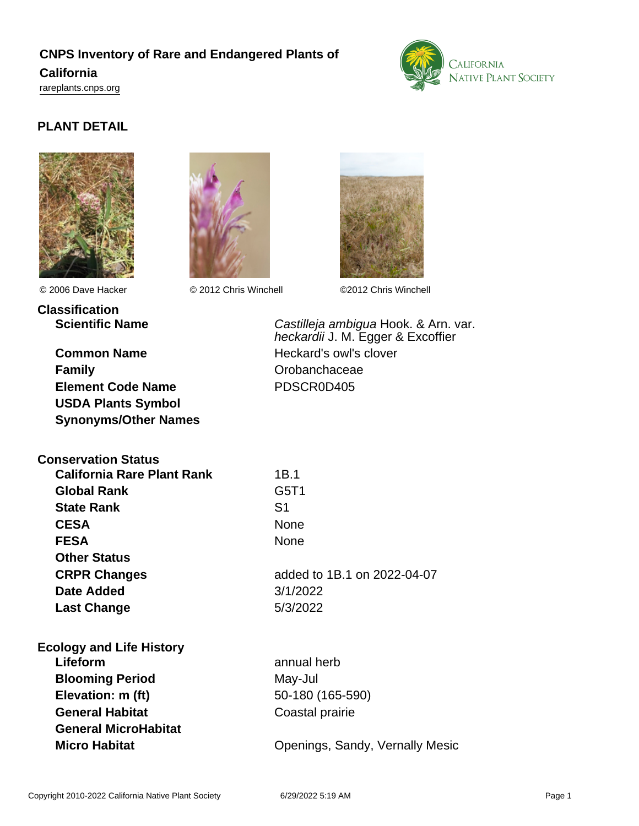# **CNPS Inventory of Rare and Endangered Plants of California**

<rareplants.cnps.org>



### **PLANT DETAIL**





**Classification**

**Conservation Status**

**Common Name** Heckard's owl's clover **Family** Crobanchaceae **Element Code Name** PDSCR0D405 **USDA Plants Symbol Synonyms/Other Names**

**California Rare Plant Rank** 1B.1



© 2006 Dave Hacker © 2012 Chris Winchell ©2012 Chris Winchell

**Scientific Name Castilleja ambigua Hook. & Arn. var.** heckardii J. M. Egger & Excoffier

| <b>Global Rank</b>              | G5T1                            |
|---------------------------------|---------------------------------|
| <b>State Rank</b>               | S1                              |
| <b>CESA</b>                     | <b>None</b>                     |
| <b>FESA</b>                     | <b>None</b>                     |
| <b>Other Status</b>             |                                 |
| <b>CRPR Changes</b>             | added to 1B.1 on 2022-04-07     |
| Date Added                      | 3/1/2022                        |
| <b>Last Change</b>              | 5/3/2022                        |
| <b>Ecology and Life History</b> |                                 |
| Lifeform                        | annual herb                     |
| <b>Blooming Period</b>          | May-Jul                         |
| Elevation: m (ft)               | 50-180 (165-590)                |
| <b>General Habitat</b>          | Coastal prairie                 |
| <b>General MicroHabitat</b>     |                                 |
| <b>Micro Habitat</b>            | Openings, Sandy, Vernally Mesic |
|                                 |                                 |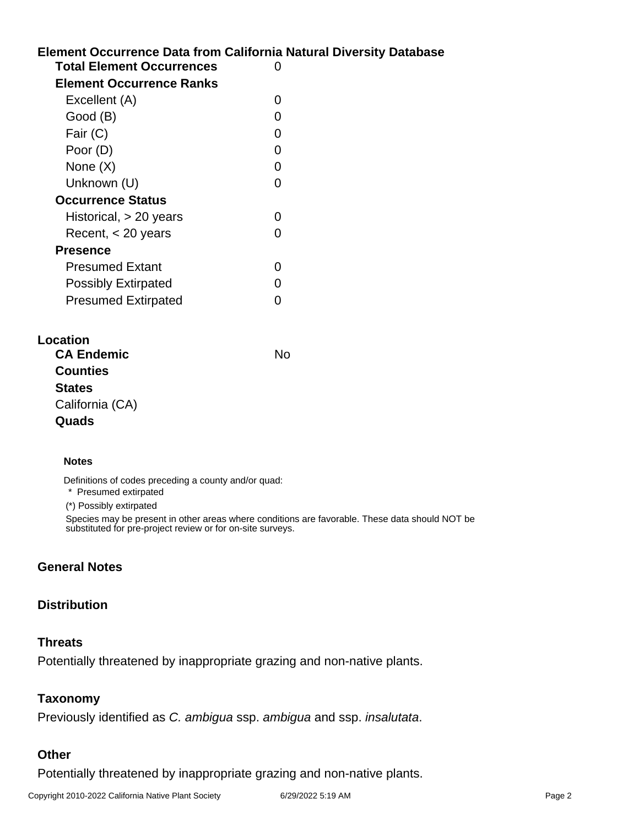## **Element Occurrence Data from California Natural Diversity Database Total Element Occurrences** 0 **Element Occurrence Ranks** Excellent (A) 0

| Excellent (A)              | O |
|----------------------------|---|
| Good (B)                   | O |
| Fair (C)                   | O |
| Poor (D)                   | ი |
| None $(X)$                 | ი |
| Unknown (U)                | O |
| <b>Occurrence Status</b>   |   |
| Historical, $> 20$ years   | 0 |
| Recent, $<$ 20 years       |   |
| <b>Presence</b>            |   |
| <b>Presumed Extant</b>     |   |
| <b>Possibly Extirpated</b> | O |
| <b>Presumed Extirpated</b> |   |

| Location |                   |    |
|----------|-------------------|----|
|          | <b>CA Endemic</b> | N٥ |
|          | <b>Counties</b>   |    |
|          | <b>States</b>     |    |
|          | California (CA)   |    |
|          | Quads             |    |
|          |                   |    |

#### **Notes**

Definitions of codes preceding a county and/or quad:

\* Presumed extirpated

(\*) Possibly extirpated

Species may be present in other areas where conditions are favorable. These data should NOT be substituted for pre-project review or for on-site surveys.

### **General Notes**

### **Distribution**

### **Threats**

Potentially threatened by inappropriate grazing and non-native plants.

### **Taxonomy**

Previously identified as C. ambigua ssp. ambigua and ssp. insalutata.

### **Other**

Potentially threatened by inappropriate grazing and non-native plants.